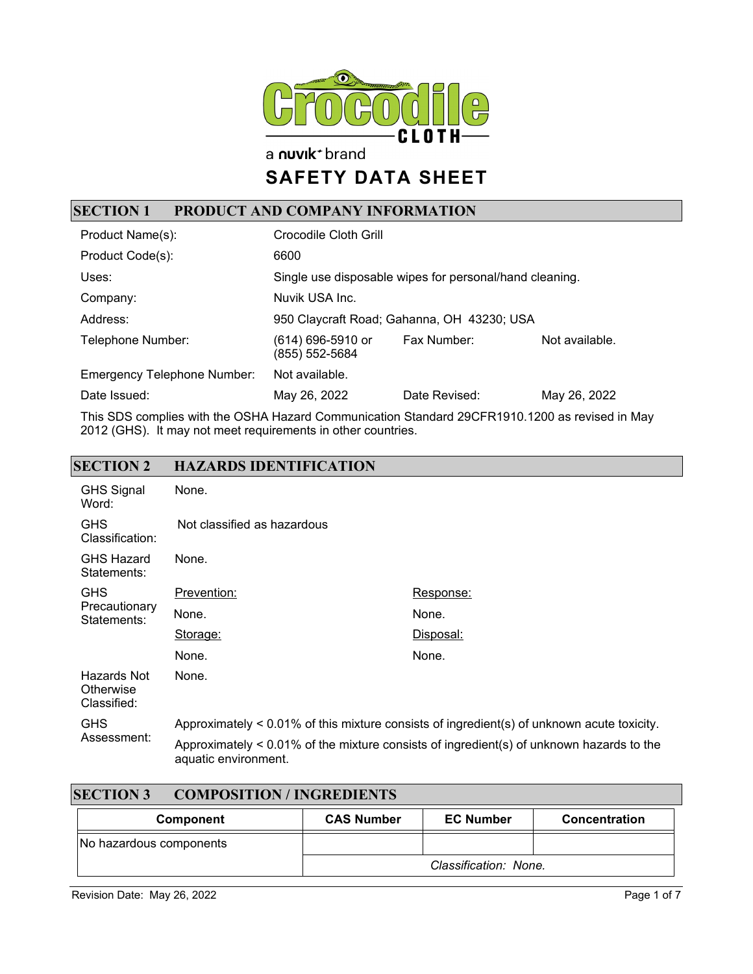

a nuvik<sup>+</sup> brand

# **SAFETY DATA SHEET**

## **SECTION 1 PRODUCT AND COMPANY INFORMATION**

| Product Name(s):                   | Crocodile Cloth Grill                                   |               |                |
|------------------------------------|---------------------------------------------------------|---------------|----------------|
| Product Code(s):                   | 6600                                                    |               |                |
| Uses:                              | Single use disposable wipes for personal/hand cleaning. |               |                |
| Company:                           | Nuvik USA Inc.                                          |               |                |
| Address:                           | 950 Claycraft Road; Gahanna, OH 43230; USA              |               |                |
| Telephone Number:                  | (614) 696-5910 or<br>(855) 552-5684                     | Fax Number:   | Not available. |
| <b>Emergency Telephone Number:</b> | Not available.                                          |               |                |
| Date Issued:                       | May 26, 2022                                            | Date Revised: | May 26, 2022   |

This SDS complies with the OSHA Hazard Communication Standard 29CFR1910.1200 as revised in May 2012 (GHS). It may not meet requirements in other countries.

#### **SECTION 2 HAZARDS IDENTIFICATION**

| <b>GHS Signal</b><br>Word:              | None.                                                                                      |                                                                                             |
|-----------------------------------------|--------------------------------------------------------------------------------------------|---------------------------------------------------------------------------------------------|
| <b>GHS</b><br>Classification:           | Not classified as hazardous                                                                |                                                                                             |
| <b>GHS Hazard</b><br>Statements:        | None.                                                                                      |                                                                                             |
| <b>GHS</b>                              | Prevention:                                                                                | Response:                                                                                   |
| Precautionary<br>Statements:            | None.                                                                                      | None.                                                                                       |
|                                         | Storage:                                                                                   | Disposal:                                                                                   |
|                                         | None.                                                                                      | None.                                                                                       |
| Hazards Not<br>Otherwise<br>Classified: | None.                                                                                      |                                                                                             |
| <b>GHS</b><br>Assessment:               | Approximately < 0.01% of this mixture consists of ingredient(s) of unknown acute toxicity. |                                                                                             |
|                                         | aquatic environment.                                                                       | Approximately $< 0.01\%$ of the mixture consists of ingredient(s) of unknown hazards to the |

| <b>SECTION 3</b><br><b>COMPOSITION / INGREDIENTS</b> |                   |                       |               |
|------------------------------------------------------|-------------------|-----------------------|---------------|
| Component                                            | <b>CAS Number</b> | <b>EC Number</b>      | Concentration |
| No hazardous components                              |                   |                       |               |
|                                                      |                   | Classification: None. |               |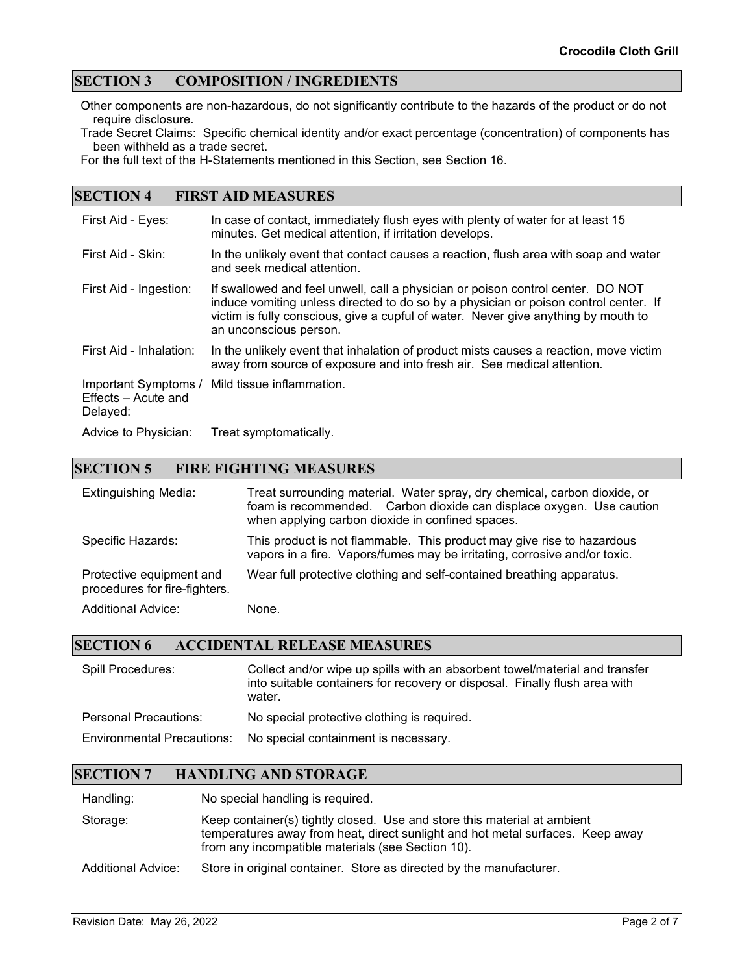#### **SECTION 3 COMPOSITION / INGREDIENTS**

Other components are non-hazardous, do not significantly contribute to the hazards of the product or do not require disclosure.

Trade Secret Claims: Specific chemical identity and/or exact percentage (concentration) of components has been withheld as a trade secret.

For the full text of the H-Statements mentioned in this Section, see Section 16.

#### **SECTION 4 FIRST AID MEASURES**

| First Aid - Eyes:                                       | In case of contact, immediately flush eyes with plenty of water for at least 15<br>minutes. Get medical attention, if irritation develops.                                                                                                                                              |
|---------------------------------------------------------|-----------------------------------------------------------------------------------------------------------------------------------------------------------------------------------------------------------------------------------------------------------------------------------------|
| First Aid - Skin:                                       | In the unlikely event that contact causes a reaction, flush area with soap and water<br>and seek medical attention.                                                                                                                                                                     |
| First Aid - Ingestion:                                  | If swallowed and feel unwell, call a physician or poison control center. DO NOT<br>induce vomiting unless directed to do so by a physician or poison control center. If<br>victim is fully conscious, give a cupful of water. Never give anything by mouth to<br>an unconscious person. |
| First Aid - Inhalation:                                 | In the unlikely event that inhalation of product mists causes a reaction, move victim<br>away from source of exposure and into fresh air. See medical attention.                                                                                                                        |
| Important Symptoms /<br>Effects - Acute and<br>Delayed: | Mild tissue inflammation.                                                                                                                                                                                                                                                               |
| Advice to Physician:                                    | Treat symptomatically.                                                                                                                                                                                                                                                                  |

#### **SECTION 5 FIRE FIGHTING MEASURES**

| <b>Extinguishing Media:</b>                               | Treat surrounding material. Water spray, dry chemical, carbon dioxide, or<br>foam is recommended. Carbon dioxide can displace oxygen. Use caution<br>when applying carbon dioxide in confined spaces. |
|-----------------------------------------------------------|-------------------------------------------------------------------------------------------------------------------------------------------------------------------------------------------------------|
| Specific Hazards:                                         | This product is not flammable. This product may give rise to hazardous<br>vapors in a fire. Vapors/fumes may be irritating, corrosive and/or toxic.                                                   |
| Protective equipment and<br>procedures for fire-fighters. | Wear full protective clothing and self-contained breathing apparatus.                                                                                                                                 |
| <b>Additional Advice:</b>                                 | None.                                                                                                                                                                                                 |

#### **SECTION 6 ACCIDENTAL RELEASE MEASURES**

| Spill Procedures:                 | Collect and/or wipe up spills with an absorbent towel/material and transfer<br>into suitable containers for recovery or disposal. Finally flush area with<br>water. |
|-----------------------------------|---------------------------------------------------------------------------------------------------------------------------------------------------------------------|
| <b>Personal Precautions:</b>      | No special protective clothing is required.                                                                                                                         |
| <b>Environmental Precautions:</b> | No special containment is necessary.                                                                                                                                |

#### **SECTION 7 HANDLING AND STORAGE**

Handling: No special handling is required.

Storage: Keep container(s) tightly closed. Use and store this material at ambient temperatures away from heat, direct sunlight and hot metal surfaces. Keep away from any incompatible materials (see Section 10).

Additional Advice: Store in original container. Store as directed by the manufacturer.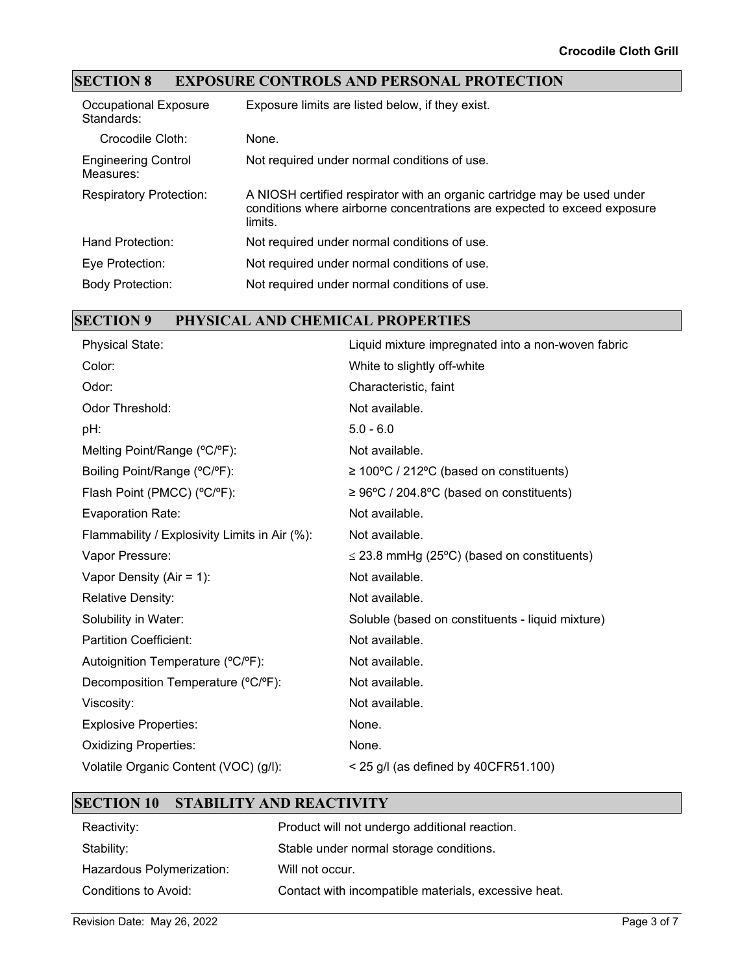## **SECTION 8 EXPOSURE CONTROLS AND PERSONAL PROTECTION**

| Occupational Exposure<br>Standards:     | Exposure limits are listed below, if they exist.                                                                                                                |
|-----------------------------------------|-----------------------------------------------------------------------------------------------------------------------------------------------------------------|
| Crocodile Cloth:                        | None.                                                                                                                                                           |
| <b>Engineering Control</b><br>Measures: | Not required under normal conditions of use.                                                                                                                    |
| <b>Respiratory Protection:</b>          | A NIOSH certified respirator with an organic cartridge may be used under<br>conditions where airborne concentrations are expected to exceed exposure<br>limits. |
| Hand Protection:                        | Not required under normal conditions of use.                                                                                                                    |
| Eye Protection:                         | Not required under normal conditions of use.                                                                                                                    |
| <b>Body Protection:</b>                 | Not required under normal conditions of use.                                                                                                                    |

## **SECTION 9 PHYSICAL AND CHEMICAL PROPERTIES**

| <b>Physical State:</b>                        | Liquid mixture impregnated into a non-woven fabric    |
|-----------------------------------------------|-------------------------------------------------------|
| Color:                                        | White to slightly off-white                           |
| Odor:                                         | Characteristic, faint                                 |
| Odor Threshold:                               | Not available.                                        |
| pH:                                           | $5.0 - 6.0$                                           |
| Melting Point/Range (°C/°F):                  | Not available.                                        |
| Boiling Point/Range (°C/°F):                  | $\geq 100^{\circ}$ C / 212°C (based on constituents)  |
| Flash Point (PMCC) (°C/°F):                   | $\geq 96^{\circ}$ C / 204.8°C (based on constituents) |
| <b>Evaporation Rate:</b>                      | Not available.                                        |
| Flammability / Explosivity Limits in Air (%): | Not available.                                        |
| Vapor Pressure:                               | $\leq$ 23.8 mmHg (25°C) (based on constituents)       |
| Vapor Density (Air = $1$ ):                   | Not available.                                        |
| <b>Relative Density:</b>                      | Not available.                                        |
| Solubility in Water:                          | Soluble (based on constituents - liquid mixture)      |
| <b>Partition Coefficient:</b>                 | Not available.                                        |
| Autoignition Temperature (°C/°F):             | Not available.                                        |
| Decomposition Temperature (°C/°F):            | Not available.                                        |
| Viscosity:                                    | Not available.                                        |
| <b>Explosive Properties:</b>                  | None.                                                 |
| <b>Oxidizing Properties:</b>                  | None.                                                 |
| Volatile Organic Content (VOC) (g/l):         | $<$ 25 g/l (as defined by 40CFR51.100)                |
|                                               |                                                       |

#### **SECTION 10 STABILITY AND REACTIVITY**

| Reactivity:               | Product will not undergo additional reaction.        |
|---------------------------|------------------------------------------------------|
| Stability:                | Stable under normal storage conditions.              |
| Hazardous Polymerization: | Will not occur.                                      |
| Conditions to Avoid:      | Contact with incompatible materials, excessive heat. |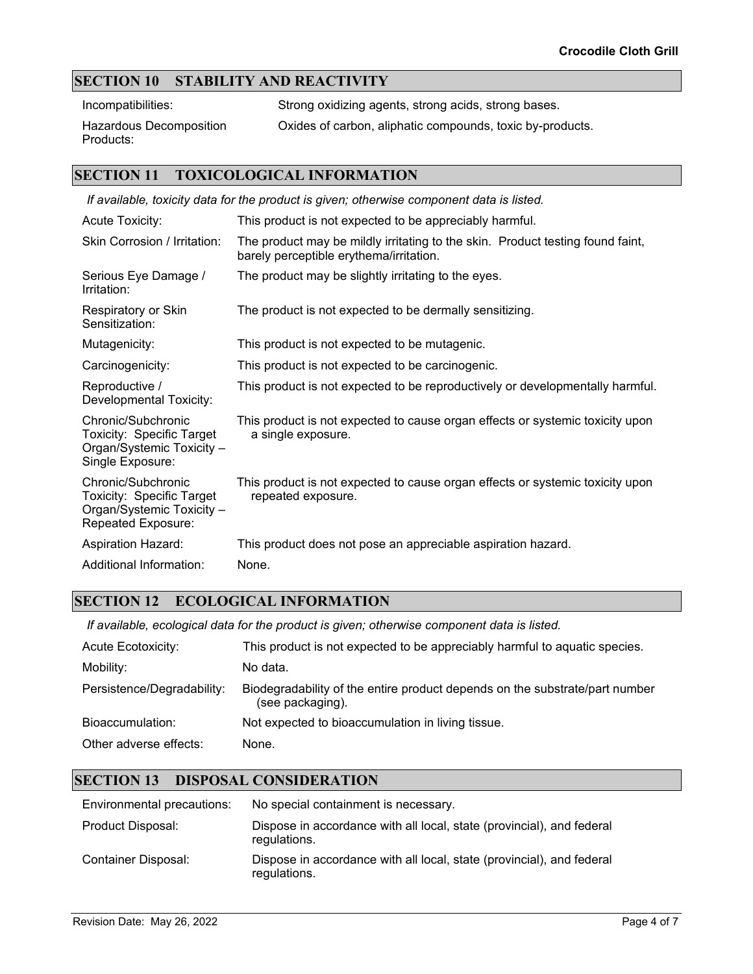### **SECTION 10 STABILITY AND REACTIVITY**

Incompatibilities: Strong oxidizing agents, strong acids, strong bases.

Hazardous Decomposition Products:

Oxides of carbon, aliphatic compounds, toxic by-products.

#### **SECTION 11 TOXICOLOGICAL INFORMATION**

| If available, toxicity data for the product is given; otherwise component data is listed.          |                                                                                                                           |  |
|----------------------------------------------------------------------------------------------------|---------------------------------------------------------------------------------------------------------------------------|--|
| <b>Acute Toxicity:</b>                                                                             | This product is not expected to be appreciably harmful.                                                                   |  |
| Skin Corrosion / Irritation:                                                                       | The product may be mildly irritating to the skin. Product testing found faint,<br>barely perceptible erythema/irritation. |  |
| Serious Eye Damage /<br>Irritation:                                                                | The product may be slightly irritating to the eyes.                                                                       |  |
| Respiratory or Skin<br>Sensitization:                                                              | The product is not expected to be dermally sensitizing.                                                                   |  |
| Mutagenicity:                                                                                      | This product is not expected to be mutagenic.                                                                             |  |
| Carcinogenicity:                                                                                   | This product is not expected to be carcinogenic.                                                                          |  |
| Reproductive /<br>Developmental Toxicity:                                                          | This product is not expected to be reproductively or developmentally harmful.                                             |  |
| Chronic/Subchronic<br>Toxicity: Specific Target<br>Organ/Systemic Toxicity -<br>Single Exposure:   | This product is not expected to cause organ effects or systemic toxicity upon<br>a single exposure.                       |  |
| Chronic/Subchronic<br>Toxicity: Specific Target<br>Organ/Systemic Toxicity -<br>Repeated Exposure: | This product is not expected to cause organ effects or systemic toxicity upon<br>repeated exposure.                       |  |
| <b>Aspiration Hazard:</b>                                                                          | This product does not pose an appreciable aspiration hazard.                                                              |  |
| Additional Information:                                                                            | None.                                                                                                                     |  |

#### **SECTION 12 ECOLOGICAL INFORMATION**

*If available, ecological data for the product is given; otherwise component data is listed.*

| <b>Acute Ecotoxicity:</b>  | This product is not expected to be appreciably harmful to aquatic species.                      |
|----------------------------|-------------------------------------------------------------------------------------------------|
| Mobility:                  | No data.                                                                                        |
| Persistence/Degradability: | Biodegradability of the entire product depends on the substrate/part number<br>(see packaging). |
| Bioaccumulation:           | Not expected to bioaccumulation in living tissue.                                               |
| Other adverse effects:     | None.                                                                                           |

### **SECTION 13 DISPOSAL CONSIDERATION**

| Environmental precautions: | No special containment is necessary.                                                  |
|----------------------------|---------------------------------------------------------------------------------------|
| Product Disposal:          | Dispose in accordance with all local, state (provincial), and federal<br>regulations. |
| Container Disposal:        | Dispose in accordance with all local, state (provincial), and federal<br>regulations. |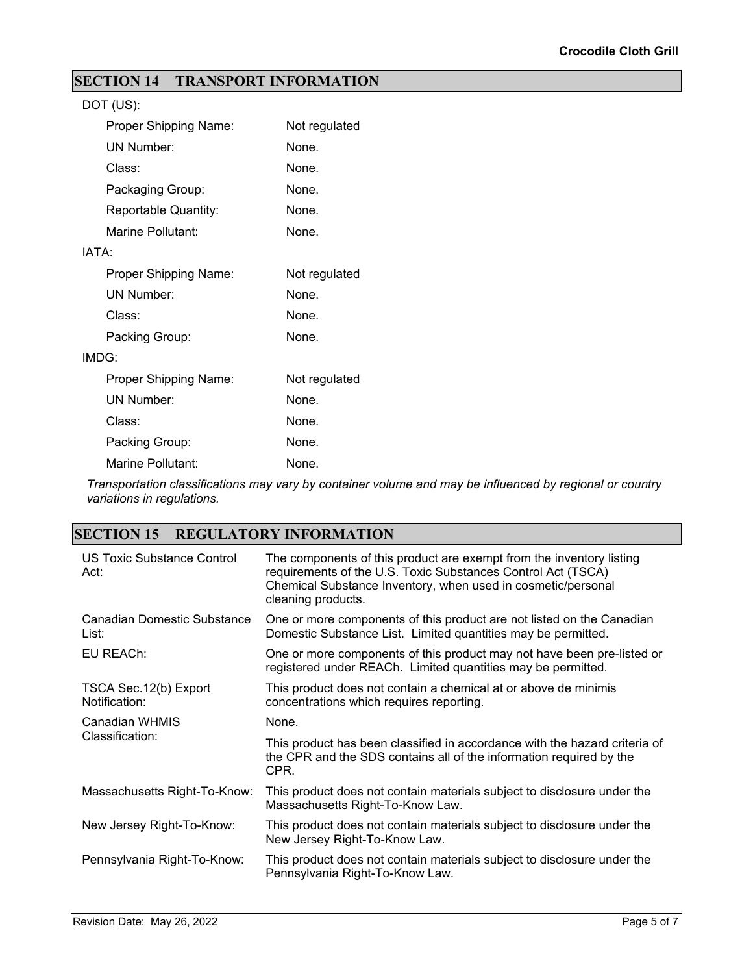### **SECTION 14 TRANSPORT INFORMATION**

|       | DOT (US):             |               |
|-------|-----------------------|---------------|
|       | Proper Shipping Name: | Not regulated |
|       | <b>UN Number:</b>     | None.         |
|       | Class:                | None.         |
|       | Packaging Group:      | None.         |
|       | Reportable Quantity:  | None.         |
|       | Marine Pollutant:     | None.         |
| IATA: |                       |               |
|       | Proper Shipping Name: | Not regulated |
|       | <b>UN Number:</b>     | None.         |
|       | Class:                | None.         |
|       | Packing Group:        | None.         |
|       | IMDG:                 |               |
|       | Proper Shipping Name: | Not regulated |
|       | <b>UN Number:</b>     | None.         |
|       | Class:                | None.         |
|       | Packing Group:        | None.         |
|       | Marine Pollutant:     | None.         |

*Transportation classifications may vary by container volume and may be influenced by regional or country variations in regulations.*

## **SECTION 15 REGULATORY INFORMATION**

| US Toxic Substance Control<br>Act:      | The components of this product are exempt from the inventory listing<br>requirements of the U.S. Toxic Substances Control Act (TSCA)<br>Chemical Substance Inventory, when used in cosmetic/personal<br>cleaning products. |
|-----------------------------------------|----------------------------------------------------------------------------------------------------------------------------------------------------------------------------------------------------------------------------|
| Canadian Domestic Substance<br>List:    | One or more components of this product are not listed on the Canadian<br>Domestic Substance List. Limited quantities may be permitted.                                                                                     |
| EU REACh:                               | One or more components of this product may not have been pre-listed or<br>registered under REACh. Limited quantities may be permitted.                                                                                     |
| TSCA Sec. 12(b) Export<br>Notification: | This product does not contain a chemical at or above de minimis<br>concentrations which requires reporting.                                                                                                                |
| <b>Canadian WHMIS</b>                   | None.                                                                                                                                                                                                                      |
| Classification:                         | This product has been classified in accordance with the hazard criteria of<br>the CPR and the SDS contains all of the information required by the<br>CPR.                                                                  |
| Massachusetts Right-To-Know:            | This product does not contain materials subject to disclosure under the<br>Massachusetts Right-To-Know Law.                                                                                                                |
| New Jersey Right-To-Know:               | This product does not contain materials subject to disclosure under the<br>New Jersey Right-To-Know Law.                                                                                                                   |
| Pennsylvania Right-To-Know:             | This product does not contain materials subject to disclosure under the<br>Pennsylvania Right-To-Know Law.                                                                                                                 |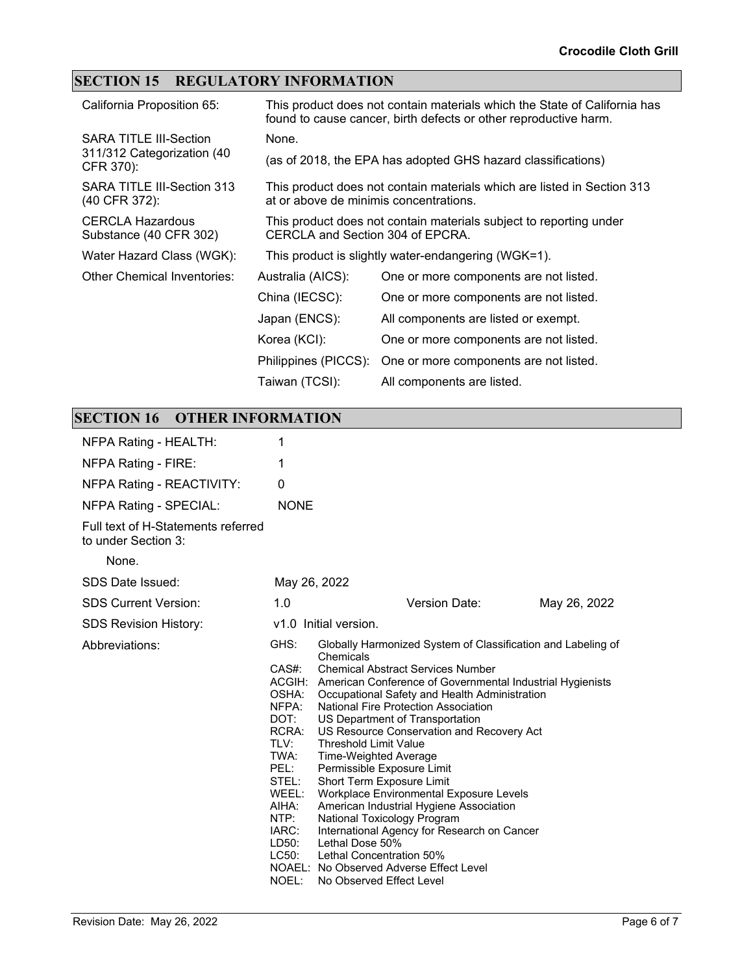## **SECTION 15 REGULATORY INFORMATION**

| California Proposition 65:                        | This product does not contain materials which the State of California has<br>found to cause cancer, birth defects or other reproductive harm. |                                                                         |
|---------------------------------------------------|-----------------------------------------------------------------------------------------------------------------------------------------------|-------------------------------------------------------------------------|
| <b>SARA TITLE III-Section</b>                     | None.                                                                                                                                         |                                                                         |
| 311/312 Categorization (40<br>CFR 370):           |                                                                                                                                               | (as of 2018, the EPA has adopted GHS hazard classifications)            |
| SARA TITLE III-Section 313<br>(40 CFR 372):       | at or above de minimis concentrations.                                                                                                        | This product does not contain materials which are listed in Section 313 |
| <b>CERCLA Hazardous</b><br>Substance (40 CFR 302) | CERCLA and Section 304 of EPCRA.                                                                                                              | This product does not contain materials subject to reporting under      |
| Water Hazard Class (WGK):                         |                                                                                                                                               | This product is slightly water-endangering (WGK=1).                     |
| Other Chemical Inventories:                       | Australia (AICS):                                                                                                                             | One or more components are not listed.                                  |
|                                                   | China (IECSC):                                                                                                                                | One or more components are not listed.                                  |
|                                                   | Japan (ENCS):                                                                                                                                 | All components are listed or exempt.                                    |
|                                                   | Korea (KCI):                                                                                                                                  | One or more components are not listed.                                  |
|                                                   | Philippines (PICCS):                                                                                                                          | One or more components are not listed.                                  |
|                                                   | Taiwan (TCSI):                                                                                                                                | All components are listed.                                              |

## **SECTION 16 OTHER INFORMATION**

| NFPA Rating - HEALTH:                                     | 1                                                                                                                                               |                                                                                                                                                                                                                                                                                                                                                                                                                                                                                                                                                                                                                                                                                                                                                                                  |              |  |
|-----------------------------------------------------------|-------------------------------------------------------------------------------------------------------------------------------------------------|----------------------------------------------------------------------------------------------------------------------------------------------------------------------------------------------------------------------------------------------------------------------------------------------------------------------------------------------------------------------------------------------------------------------------------------------------------------------------------------------------------------------------------------------------------------------------------------------------------------------------------------------------------------------------------------------------------------------------------------------------------------------------------|--------------|--|
| NFPA Rating - FIRE:                                       | 1                                                                                                                                               |                                                                                                                                                                                                                                                                                                                                                                                                                                                                                                                                                                                                                                                                                                                                                                                  |              |  |
| NFPA Rating - REACTIVITY:                                 | 0                                                                                                                                               |                                                                                                                                                                                                                                                                                                                                                                                                                                                                                                                                                                                                                                                                                                                                                                                  |              |  |
| <b>NFPA Rating - SPECIAL:</b>                             | <b>NONE</b>                                                                                                                                     |                                                                                                                                                                                                                                                                                                                                                                                                                                                                                                                                                                                                                                                                                                                                                                                  |              |  |
| Full text of H-Statements referred<br>to under Section 3: |                                                                                                                                                 |                                                                                                                                                                                                                                                                                                                                                                                                                                                                                                                                                                                                                                                                                                                                                                                  |              |  |
| None.                                                     |                                                                                                                                                 |                                                                                                                                                                                                                                                                                                                                                                                                                                                                                                                                                                                                                                                                                                                                                                                  |              |  |
| SDS Date Issued:                                          | May 26, 2022                                                                                                                                    |                                                                                                                                                                                                                                                                                                                                                                                                                                                                                                                                                                                                                                                                                                                                                                                  |              |  |
| <b>SDS Current Version:</b>                               | 1.0                                                                                                                                             | Version Date:                                                                                                                                                                                                                                                                                                                                                                                                                                                                                                                                                                                                                                                                                                                                                                    | May 26, 2022 |  |
| <b>SDS Revision History:</b>                              | v1.0 Initial version.                                                                                                                           |                                                                                                                                                                                                                                                                                                                                                                                                                                                                                                                                                                                                                                                                                                                                                                                  |              |  |
| Abbreviations:                                            | GHS:<br>CAS#:<br>OSHA:<br>NFPA:<br>DOT:<br>RCRA:<br>TLV:<br>TWA:<br>PEL:<br>STEL:<br>WEEL:<br>AIHA:<br>NTP:<br>IARC:<br>LD50:<br>LC50:<br>NOEL: | Globally Harmonized System of Classification and Labeling of<br>Chemicals<br><b>Chemical Abstract Services Number</b><br>ACGIH: American Conference of Governmental Industrial Hygienists<br>Occupational Safety and Health Administration<br>National Fire Protection Association<br>US Department of Transportation<br>US Resource Conservation and Recovery Act<br><b>Threshold Limit Value</b><br>Time-Weighted Average<br>Permissible Exposure Limit<br>Short Term Exposure Limit<br>Workplace Environmental Exposure Levels<br>American Industrial Hygiene Association<br>National Toxicology Program<br>International Agency for Research on Cancer<br>Lethal Dose 50%<br>Lethal Concentration 50%<br>NOAEL: No Observed Adverse Effect Level<br>No Observed Effect Level |              |  |